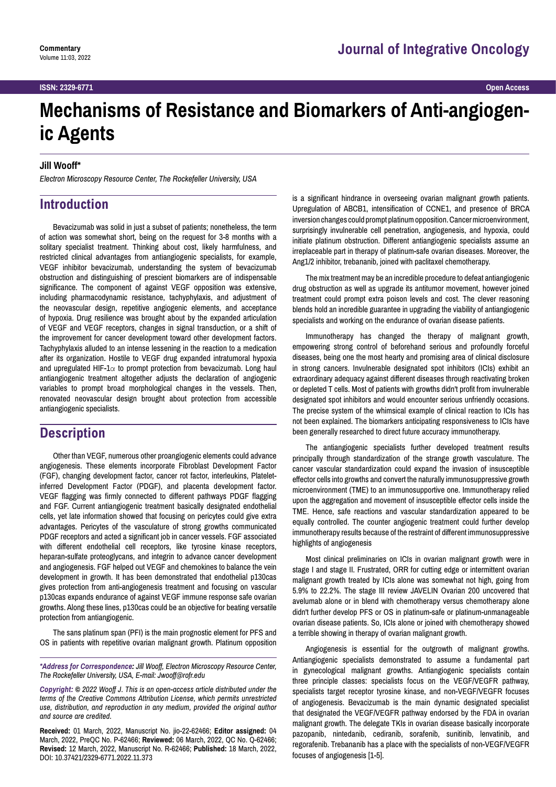# **Mechanisms of Resistance and Biomarkers of Anti-angiogenic Agents**

#### **Jill Wooff\***

*Electron Microscopy Resource Center, The Rockefeller University, USA*

## **Introduction**

Bevacizumab was solid in just a subset of patients; nonetheless, the term of action was somewhat short, being on the request for 3-8 months with a solitary specialist treatment. Thinking about cost, likely harmfulness, and restricted clinical advantages from antiangiogenic specialists, for example, VEGF inhibitor bevacizumab, understanding the system of bevacizumab obstruction and distinguishing of prescient biomarkers are of indispensable significance. The component of against VEGF opposition was extensive, including pharmacodynamic resistance, tachyphylaxis, and adjustment of the neovascular design, repetitive angiogenic elements, and acceptance of hypoxia. Drug resilience was brought about by the expanded articulation of VEGF and VEGF receptors, changes in signal transduction, or a shift of the improvement for cancer development toward other development factors. Tachyphylaxis alluded to an intense lessening in the reaction to a medication after its organization. Hostile to VEGF drug expanded intratumoral hypoxia and upregulated HIF- $1\alpha$  to prompt protection from bevacizumab. Long haul antiangiogenic treatment altogether adjusts the declaration of angiogenic variables to prompt broad morphological changes in the vessels. Then, renovated neovascular design brought about protection from accessible antiangiogenic specialists.

### **Description**

Other than VEGF, numerous other proangiogenic elements could advance angiogenesis. These elements incorporate Fibroblast Development Factor (FGF), changing development factor, cancer rot factor, interleukins, Plateletinferred Development Factor (PDGF), and placenta development factor. VEGF flagging was firmly connected to different pathways PDGF flagging and FGF. Current antiangiogenic treatment basically designated endothelial cells, yet late information showed that focusing on pericytes could give extra advantages. Pericytes of the vasculature of strong growths communicated PDGF receptors and acted a significant job in cancer vessels. FGF associated with different endothelial cell receptors, like tyrosine kinase receptors, heparan-sulfate proteoglycans, and integrin to advance cancer development and angiogenesis. FGF helped out VEGF and chemokines to balance the vein development in growth. It has been demonstrated that endothelial p130cas gives protection from anti-angiogenesis treatment and focusing on vascular p130cas expands endurance of against VEGF immune response safe ovarian growths. Along these lines, p130cas could be an objective for beating versatile protection from antiangiogenic.

The sans platinum span (PFI) is the main prognostic element for PFS and OS in patients with repetitive ovarian malignant growth. Platinum opposition

*\*Address for Correspondence: Jill Wooff, Electron Microscopy Resource Center, The Rockefeller University, USA, E-mail: [Jwooff@rofr.edu](mailto:Jwooff@rofr.edu)*

*Copyright: © 2022 Wooff J. This is an open-access article distributed under the terms of the Creative Commons Attribution License, which permits unrestricted use, distribution, and reproduction in any medium, provided the original author and source are credited.*

**Received:** 01 March, 2022, Manuscript No. jio-22-62466; **Editor assigned:** 04 March, 2022, PreQC No. P-62466; **Reviewed:** 06 March, 2022, QC No. Q-62466; **Revised:** 12 March, 2022, Manuscript No. R-62466; **Published:** 18 March, 2022, DOI: 10.37421/2329-6771.2022.11.373

is a significant hindrance in overseeing ovarian malignant growth patients. Upregulation of ABCB1, intensification of CCNE1, and presence of BRCA inversion changes could prompt platinum opposition. Cancer microenvironment, surprisingly invulnerable cell penetration, angiogenesis, and hypoxia, could initiate platinum obstruction. Different antiangiogenic specialists assume an irreplaceable part in therapy of platinum-safe ovarian diseases. Moreover, the Ang1/2 inhibitor, trebananib, joined with paclitaxel chemotherapy.

The mix treatment may be an incredible procedure to defeat antiangiogenic drug obstruction as well as upgrade its antitumor movement, however joined treatment could prompt extra poison levels and cost. The clever reasoning blends hold an incredible guarantee in upgrading the viability of antiangiogenic specialists and working on the endurance of ovarian disease patients.

Immunotherapy has changed the therapy of malignant growth, empowering strong control of beforehand serious and profoundly forceful diseases, being one the most hearty and promising area of clinical disclosure in strong cancers. Invulnerable designated spot inhibitors (ICIs) exhibit an extraordinary adequacy against different diseases through reactivating broken or depleted T cells. Most of patients with growths didn't profit from invulnerable designated spot inhibitors and would encounter serious unfriendly occasions. The precise system of the whimsical example of clinical reaction to ICIs has not been explained. The biomarkers anticipating responsiveness to ICIs have been generally researched to direct future accuracy immunotherapy.

The antiangiogenic specialists further developed treatment results principally through standardization of the strange growth vasculature. The cancer vascular standardization could expand the invasion of insusceptible effector cells into growths and convert the naturally immunosuppressive growth microenvironment (TME) to an immunosupportive one. Immunotherapy relied upon the aggregation and movement of insusceptible effector cells inside the TME. Hence, safe reactions and vascular standardization appeared to be equally controlled. The counter angiogenic treatment could further develop immunotherapy results because of the restraint of different immunosuppressive highlights of angiogenesis

Most clinical preliminaries on ICIs in ovarian malignant growth were in stage I and stage II. Frustrated, ORR for cutting edge or intermittent ovarian malignant growth treated by ICIs alone was somewhat not high, going from 5.9% to 22.2%. The stage III review JAVELIN Ovarian 200 uncovered that avelumab alone or in blend with chemotherapy versus chemotherapy alone didn't further develop PFS or OS in platinum-safe or platinum-unmanageable ovarian disease patients. So, ICIs alone or joined with chemotherapy showed a terrible showing in therapy of ovarian malignant growth.

Angiogenesis is essential for the outgrowth of malignant growths. Antiangiogenic specialists demonstrated to assume a fundamental part in gynecological malignant growths. Antiangiogenic specialists contain three principle classes: specialists focus on the VEGF/VEGFR pathway, specialists target receptor tyrosine kinase, and non-VEGF/VEGFR focuses of angiogenesis. Bevacizumab is the main dynamic designated specialist that designated the VEGF/VEGFR pathway endorsed by the FDA in ovarian malignant growth. The delegate TKIs in ovarian disease basically incorporate pazopanib, nintedanib, cediranib, sorafenib, sunitinib, lenvatinib, and regorafenib. Trebananib has a place with the specialists of non-VEGF/VEGFR focuses of angiogenesis [1-5].